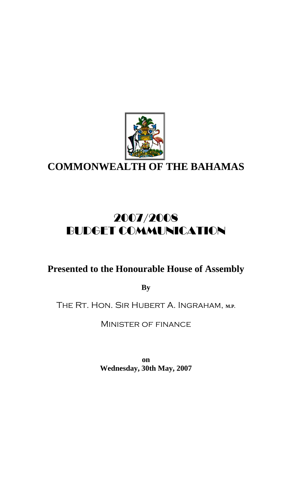

**COMMONWEALTH OF THE BAHAMAS**

# 2007/2008 BUDGET COMMUNICATION

# **Presented to the Honourable House of Assembly**

**By** 

THE RT. HON. SIR HUBERT A. INGRAHAM, M.P.

Minister of finance

**on Wednesday, 30th May, 2007**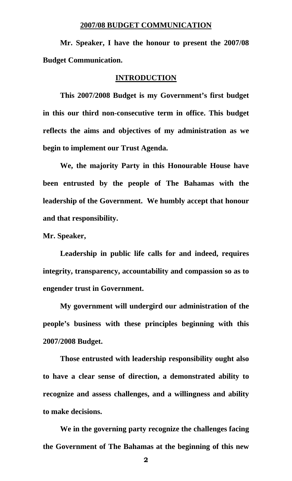### **2007/08 BUDGET COMMUNICATION**

 **Mr. Speaker, I have the honour to present the 2007/08 Budget Communication.** 

### **INTRODUCTION**

 **This 2007/2008 Budget is my Government's first budget in this our third non-consecutive term in office. This budget reflects the aims and objectives of my administration as we begin to implement our Trust Agenda.** 

**We, the majority Party in this Honourable House have been entrusted by the people of The Bahamas with the leadership of the Government. We humbly accept that honour and that responsibility.** 

**Mr. Speaker,** 

**Leadership in public life calls for and indeed, requires integrity, transparency, accountability and compassion so as to engender trust in Government.** 

**My government will undergird our administration of the people's business with these principles beginning with this 2007/2008 Budget.** 

**Those entrusted with leadership responsibility ought also to have a clear sense of direction, a demonstrated ability to recognize and assess challenges, and a willingness and ability to make decisions.** 

**We in the governing party recognize the challenges facing the Government of The Bahamas at the beginning of this new**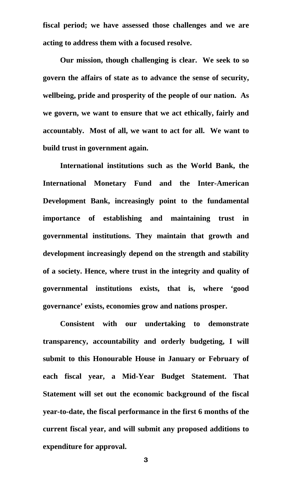**fiscal period; we have assessed those challenges and we are acting to address them with a focused resolve.** 

 **Our mission, though challenging is clear. We seek to so govern the affairs of state as to advance the sense of security, wellbeing, pride and prosperity of the people of our nation. As we govern, we want to ensure that we act ethically, fairly and accountably. Most of all, we want to act for all. We want to build trust in government again.** 

 **International institutions such as the World Bank, the International Monetary Fund and the Inter-American Development Bank, increasingly point to the fundamental importance of establishing and maintaining trust in governmental institutions. They maintain that growth and development increasingly depend on the strength and stability of a society. Hence, where trust in the integrity and quality of governmental institutions exists, that is, where 'good governance' exists, economies grow and nations prosper.** 

**Consistent with our undertaking to demonstrate transparency, accountability and orderly budgeting, I will submit to this Honourable House in January or February of each fiscal year, a Mid-Year Budget Statement. That Statement will set out the economic background of the fiscal year-to-date, the fiscal performance in the first 6 months of the current fiscal year, and will submit any proposed additions to expenditure for approval.** 

**3 3 3 3 3 3 3 3 3 4 3 3**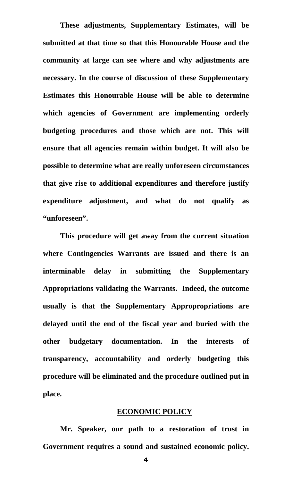**These adjustments, Supplementary Estimates, will be submitted at that time so that this Honourable House and the community at large can see where and why adjustments are necessary. In the course of discussion of these Supplementary Estimates this Honourable House will be able to determine which agencies of Government are implementing orderly budgeting procedures and those which are not. This will ensure that all agencies remain within budget. It will also be possible to determine what are really unforeseen circumstances that give rise to additional expenditures and therefore justify expenditure adjustment, and what do not qualify as "unforeseen".** 

**This procedure will get away from the current situation where Contingencies Warrants are issued and there is an interminable delay in submitting the Supplementary Appropriations validating the Warrants. Indeed, the outcome usually is that the Supplementary Appropropriations are delayed until the end of the fiscal year and buried with the other budgetary documentation. In the interests of transparency, accountability and orderly budgeting this procedure will be eliminated and the procedure outlined put in place.** 

#### **ECONOMIC POLICY**

**Mr. Speaker, our path to a restoration of trust in Government requires a sound and sustained economic policy.**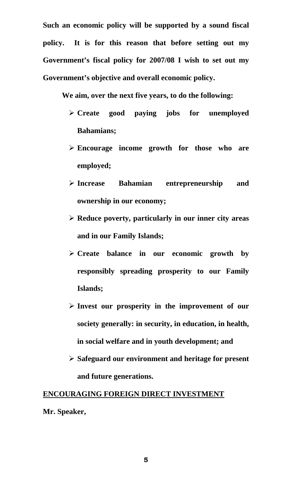**Such an economic policy will be supported by a sound fiscal policy. It is for this reason that before setting out my Government's fiscal policy for 2007/08 I wish to set out my Government's objective and overall economic policy.** 

 **We aim, over the next five years, to do the following:** 

- ¾ **Create good paying jobs for unemployed Bahamians;**
- ¾ **Encourage income growth for those who are employed;**
- ¾ **Increase Bahamian entrepreneurship and ownership in our economy;**
- ¾ **Reduce poverty, particularly in our inner city areas and in our Family Islands;**
- ¾ **Create balance in our economic growth by responsibly spreading prosperity to our Family Islands;**
- ¾ **Invest our prosperity in the improvement of our society generally: in security, in education, in health, in social welfare and in youth development; and**
- ¾ **Safeguard our environment and heritage for present and future generations.**

### **ENCOURAGING FOREIGN DIRECT INVESTMENT**

**Mr. Speaker,** 

**5 5 5 5 5 6 5 5**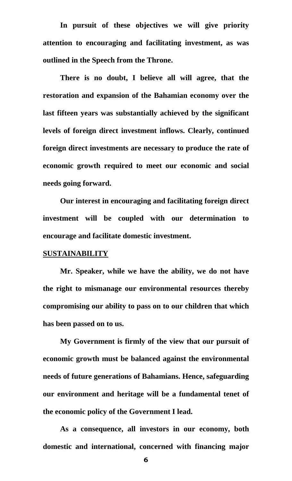**In pursuit of these objectives we will give priority attention to encouraging and facilitating investment, as was outlined in the Speech from the Throne.** 

**There is no doubt, I believe all will agree, that the restoration and expansion of the Bahamian economy over the last fifteen years was substantially achieved by the significant levels of foreign direct investment inflows. Clearly, continued foreign direct investments are necessary to produce the rate of economic growth required to meet our economic and social needs going forward.** 

**Our interest in encouraging and facilitating foreign direct investment will be coupled with our determination to encourage and facilitate domestic investment.** 

### **SUSTAINABILITY**

**Mr. Speaker, while we have the ability, we do not have the right to mismanage our environmental resources thereby compromising our ability to pass on to our children that which has been passed on to us.** 

**My Government is firmly of the view that our pursuit of economic growth must be balanced against the environmental needs of future generations of Bahamians. Hence, safeguarding our environment and heritage will be a fundamental tenet of the economic policy of the Government I lead.** 

**As a consequence, all investors in our economy, both domestic and international, concerned with financing major** 

**6 6 6 6 6 6 6 6 6**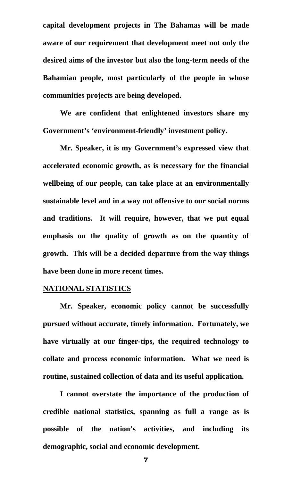**capital development projects in The Bahamas will be made aware of our requirement that development meet not only the desired aims of the investor but also the long-term needs of the Bahamian people, most particularly of the people in whose communities projects are being developed.** 

**We are confident that enlightened investors share my Government's 'environment-friendly' investment policy.** 

**Mr. Speaker, it is my Government's expressed view that accelerated economic growth, as is necessary for the financial wellbeing of our people, can take place at an environmentally sustainable level and in a way not offensive to our social norms and traditions. It will require, however, that we put equal emphasis on the quality of growth as on the quantity of growth. This will be a decided departure from the way things have been done in more recent times.** 

### **NATIONAL STATISTICS**

**Mr. Speaker, economic policy cannot be successfully pursued without accurate, timely information. Fortunately, we have virtually at our finger-tips, the required technology to collate and process economic information. What we need is routine, sustained collection of data and its useful application.** 

**I cannot overstate the importance of the production of credible national statistics, spanning as full a range as is possible of the nation's activities, and including its demographic, social and economic development.**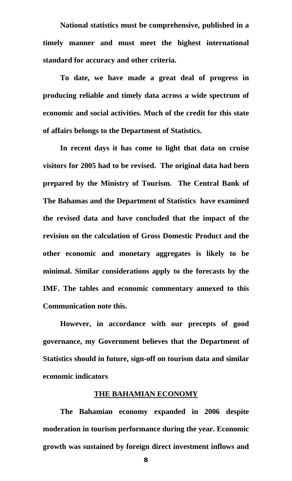**National statistics must be comprehensive, published in a timely manner and must meet the highest international standard for accuracy and other criteria.** 

**To date, we have made a great deal of progress in producing reliable and timely data across a wide spectrum of economic and social activities. Much of the credit for this state of affairs belongs to the Department of Statistics.** 

**In recent days it has come to light that data on cruise visitors for 2005 had to be revised. The original data had been prepared by the Ministry of Tourism. The Central Bank of The Bahamas and the Department of Statistics have examined the revised data and have concluded that the impact of the revision on the calculation of Gross Domestic Product and the other economic and monetary aggregates is likely to be minimal. Similar considerations apply to the forecasts by the IMF. The tables and economic commentary annexed to this Communication note this.** 

**However, in accordance with our precepts of good governance, my Government believes that the Department of Statistics should in future, sign-off on tourism data and similar economic indicators** 

# **THE BAHAMIAN ECONOMY**

**The Bahamian economy expanded in 2006 despite moderation in tourism performance during the year. Economic growth was sustained by foreign direct investment inflows and**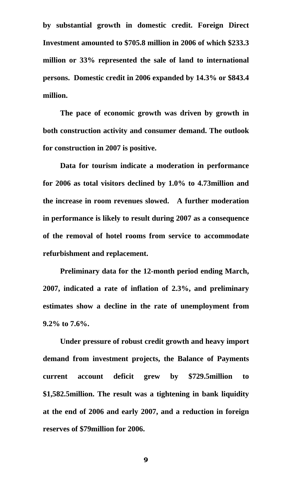**by substantial growth in domestic credit. Foreign Direct Investment amounted to \$705.8 million in 2006 of which \$233.3 million or 33% represented the sale of land to international persons. Domestic credit in 2006 expanded by 14.3% or \$843.4 million.** 

**The pace of economic growth was driven by growth in both construction activity and consumer demand. The outlook for construction in 2007 is positive.** 

**Data for tourism indicate a moderation in performance for 2006 as total visitors declined by 1.0% to 4.73million and the increase in room revenues slowed. A further moderation in performance is likely to result during 2007 as a consequence of the removal of hotel rooms from service to accommodate refurbishment and replacement.** 

**Preliminary data for the 12-month period ending March, 2007, indicated a rate of inflation of 2.3%, and preliminary estimates show a decline in the rate of unemployment from 9.2% to 7.6%.** 

**Under pressure of robust credit growth and heavy import demand from investment projects, the Balance of Payments current account deficit grew by \$729.5million to \$1,582.5million. The result was a tightening in bank liquidity at the end of 2006 and early 2007, and a reduction in foreign reserves of \$79million for 2006.**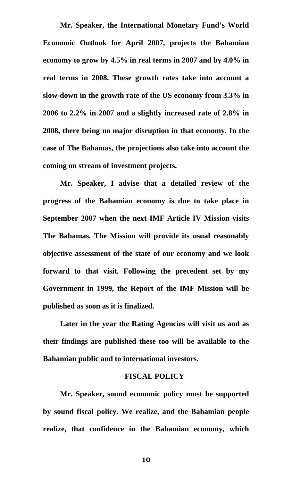**Mr. Speaker, the International Monetary Fund's World Economic Outlook for April 2007, projects the Bahamian economy to grow by 4.5% in real terms in 2007 and by 4.0% in real terms in 2008. These growth rates take into account a slow-down in the growth rate of the US economy from 3.3% in 2006 to 2.2% in 2007 and a slightly increased rate of 2.8% in 2008, there being no major disruption in that economy. In the case of The Bahamas, the projections also take into account the coming on stream of investment projects.** 

**Mr. Speaker, I advise that a detailed review of the progress of the Bahamian economy is due to take place in September 2007 when the next IMF Article IV Mission visits The Bahamas. The Mission will provide its usual reasonably objective assessment of the state of our economy and we look forward to that visit. Following the precedent set by my Government in 1999, the Report of the IMF Mission will be published as soon as it is finalized.** 

**Later in the year the Rating Agencies will visit us and as their findings are published these too will be available to the Bahamian public and to international investors.** 

### **FISCAL POLICY**

**Mr. Speaker, sound economic policy must be supported by sound fiscal policy. We realize, and the Bahamian people realize, that confidence in the Bahamian economy, which**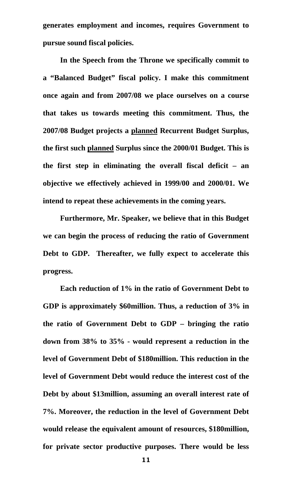**generates employment and incomes, requires Government to pursue sound fiscal policies.** 

**In the Speech from the Throne we specifically commit to a "Balanced Budget" fiscal policy. I make this commitment once again and from 2007/08 we place ourselves on a course that takes us towards meeting this commitment. Thus, the 2007/08 Budget projects a planned Recurrent Budget Surplus, the first such planned Surplus since the 2000/01 Budget. This is the first step in eliminating the overall fiscal deficit – an objective we effectively achieved in 1999/00 and 2000/01. We intend to repeat these achievements in the coming years.** 

**Furthermore, Mr. Speaker, we believe that in this Budget we can begin the process of reducing the ratio of Government Debt to GDP. Thereafter, we fully expect to accelerate this progress.** 

**Each reduction of 1% in the ratio of Government Debt to GDP is approximately \$60million. Thus, a reduction of 3% in the ratio of Government Debt to GDP – bringing the ratio down from 38% to 35% - would represent a reduction in the level of Government Debt of \$180million. This reduction in the level of Government Debt would reduce the interest cost of the Debt by about \$13million, assuming an overall interest rate of 7%. Moreover, the reduction in the level of Government Debt would release the equivalent amount of resources, \$180million, for private sector productive purposes. There would be less**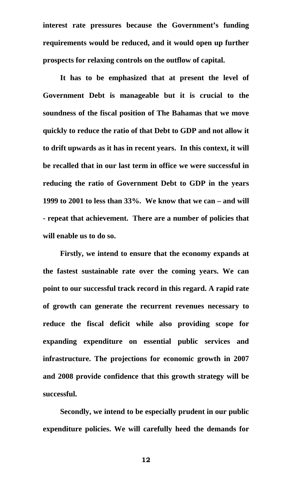**interest rate pressures because the Government's funding requirements would be reduced, and it would open up further prospects for relaxing controls on the outflow of capital.** 

**It has to be emphasized that at present the level of Government Debt is manageable but it is crucial to the soundness of the fiscal position of The Bahamas that we move quickly to reduce the ratio of that Debt to GDP and not allow it to drift upwards as it has in recent years. In this context, it will be recalled that in our last term in office we were successful in reducing the ratio of Government Debt to GDP in the years 1999 to 2001 to less than 33%. We know that we can – and will - repeat that achievement. There are a number of policies that will enable us to do so.** 

**Firstly, we intend to ensure that the economy expands at the fastest sustainable rate over the coming years. We can point to our successful track record in this regard. A rapid rate of growth can generate the recurrent revenues necessary to reduce the fiscal deficit while also providing scope for expanding expenditure on essential public services and infrastructure. The projections for economic growth in 2007 and 2008 provide confidence that this growth strategy will be successful.** 

**Secondly, we intend to be especially prudent in our public expenditure policies. We will carefully heed the demands for**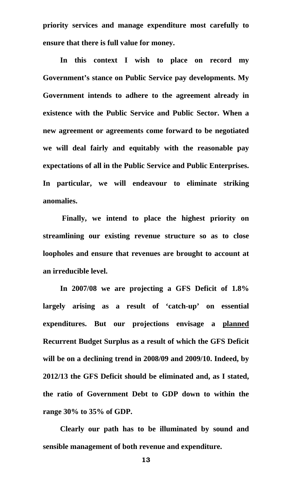**priority services and manage expenditure most carefully to ensure that there is full value for money.** 

**In this context I wish to place on record my Government's stance on Public Service pay developments. My Government intends to adhere to the agreement already in existence with the Public Service and Public Sector. When a new agreement or agreements come forward to be negotiated we will deal fairly and equitably with the reasonable pay expectations of all in the Public Service and Public Enterprises. In particular, we will endeavour to eliminate striking anomalies.** 

 **Finally, we intend to place the highest priority on streamlining our existing revenue structure so as to close loopholes and ensure that revenues are brought to account at an irreducible level.** 

**In 2007/08 we are projecting a GFS Deficit of 1.8% largely arising as a result of 'catch-up' on essential expenditures. But our projections envisage a planned Recurrent Budget Surplus as a result of which the GFS Deficit will be on a declining trend in 2008/09 and 2009/10. Indeed, by 2012/13 the GFS Deficit should be eliminated and, as I stated, the ratio of Government Debt to GDP down to within the range 30% to 35% of GDP.** 

**Clearly our path has to be illuminated by sound and sensible management of both revenue and expenditure.**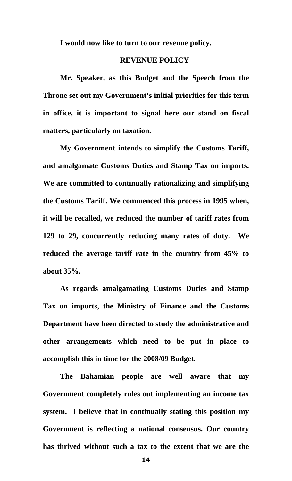**I would now like to turn to our revenue policy.** 

### **REVENUE POLICY**

**Mr. Speaker, as this Budget and the Speech from the Throne set out my Government's initial priorities for this term in office, it is important to signal here our stand on fiscal matters, particularly on taxation.** 

**My Government intends to simplify the Customs Tariff, and amalgamate Customs Duties and Stamp Tax on imports. We are committed to continually rationalizing and simplifying the Customs Tariff. We commenced this process in 1995 when, it will be recalled, we reduced the number of tariff rates from 129 to 29, concurrently reducing many rates of duty. We reduced the average tariff rate in the country from 45% to about 35%.** 

 **As regards amalgamating Customs Duties and Stamp Tax on imports, the Ministry of Finance and the Customs Department have been directed to study the administrative and other arrangements which need to be put in place to accomplish this in time for the 2008/09 Budget.** 

**The Bahamian people are well aware that my Government completely rules out implementing an income tax system. I believe that in continually stating this position my Government is reflecting a national consensus. Our country has thrived without such a tax to the extent that we are the**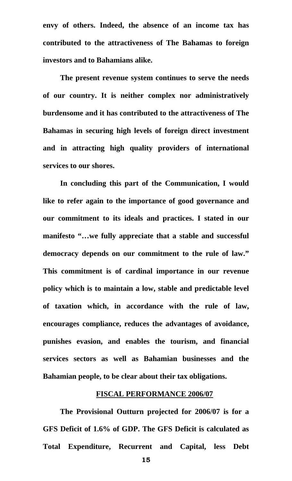**envy of others. Indeed, the absence of an income tax has contributed to the attractiveness of The Bahamas to foreign investors and to Bahamians alike.** 

 **The present revenue system continues to serve the needs of our country. It is neither complex nor administratively burdensome and it has contributed to the attractiveness of The Bahamas in securing high levels of foreign direct investment and in attracting high quality providers of international services to our shores.** 

 **In concluding this part of the Communication, I would like to refer again to the importance of good governance and our commitment to its ideals and practices. I stated in our manifesto "…we fully appreciate that a stable and successful democracy depends on our commitment to the rule of law." This commitment is of cardinal importance in our revenue policy which is to maintain a low, stable and predictable level of taxation which, in accordance with the rule of law, encourages compliance, reduces the advantages of avoidance, punishes evasion, and enables the tourism, and financial services sectors as well as Bahamian businesses and the Bahamian people, to be clear about their tax obligations.** 

### **FISCAL PERFORMANCE 2006/07**

**The Provisional Outturn projected for 2006/07 is for a GFS Deficit of 1.6% of GDP. The GFS Deficit is calculated as Total Expenditure, Recurrent and Capital, less Debt**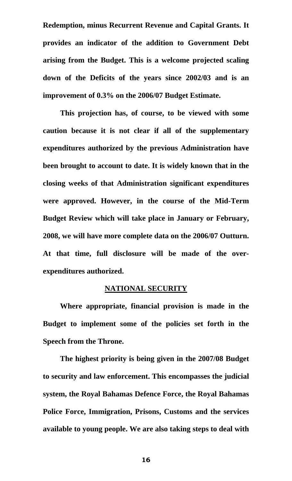**Redemption, minus Recurrent Revenue and Capital Grants. It provides an indicator of the addition to Government Debt arising from the Budget. This is a welcome projected scaling down of the Deficits of the years since 2002/03 and is an improvement of 0.3% on the 2006/07 Budget Estimate.** 

**This projection has, of course, to be viewed with some caution because it is not clear if all of the supplementary expenditures authorized by the previous Administration have been brought to account to date. It is widely known that in the closing weeks of that Administration significant expenditures were approved. However, in the course of the Mid-Term Budget Review which will take place in January or February, 2008, we will have more complete data on the 2006/07 Outturn. At that time, full disclosure will be made of the overexpenditures authorized.** 

### **NATIONAL SECURITY**

**Where appropriate, financial provision is made in the Budget to implement some of the policies set forth in the Speech from the Throne.** 

**The highest priority is being given in the 2007/08 Budget to security and law enforcement. This encompasses the judicial system, the Royal Bahamas Defence Force, the Royal Bahamas Police Force, Immigration, Prisons, Customs and the services available to young people. We are also taking steps to deal with**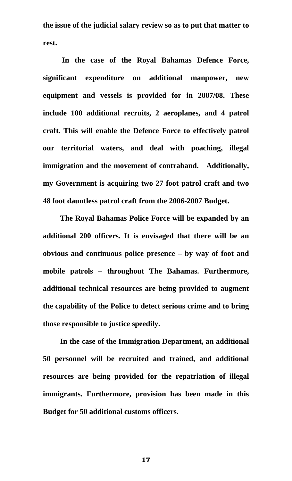**the issue of the judicial salary review so as to put that matter to rest.** 

 **In the case of the Royal Bahamas Defence Force, significant expenditure on additional manpower, new equipment and vessels is provided for in 2007/08. These include 100 additional recruits, 2 aeroplanes, and 4 patrol craft. This will enable the Defence Force to effectively patrol our territorial waters, and deal with poaching, illegal immigration and the movement of contraband. Additionally, my Government is acquiring two 27 foot patrol craft and two 48 foot dauntless patrol craft from the 2006-2007 Budget.** 

**The Royal Bahamas Police Force will be expanded by an additional 200 officers. It is envisaged that there will be an obvious and continuous police presence – by way of foot and mobile patrols – throughout The Bahamas. Furthermore, additional technical resources are being provided to augment the capability of the Police to detect serious crime and to bring those responsible to justice speedily.** 

**In the case of the Immigration Department, an additional 50 personnel will be recruited and trained, and additional resources are being provided for the repatriation of illegal immigrants. Furthermore, provision has been made in this Budget for 50 additional customs officers.**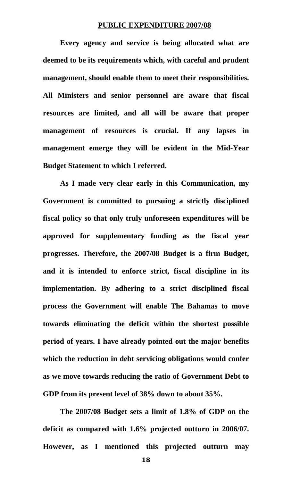### **PUBLIC EXPENDITURE 2007/08**

**Every agency and service is being allocated what are deemed to be its requirements which, with careful and prudent management, should enable them to meet their responsibilities. All Ministers and senior personnel are aware that fiscal resources are limited, and all will be aware that proper management of resources is crucial. If any lapses in management emerge they will be evident in the Mid-Year Budget Statement to which I referred.** 

 **As I made very clear early in this Communication, my Government is committed to pursuing a strictly disciplined fiscal policy so that only truly unforeseen expenditures will be approved for supplementary funding as the fiscal year progresses. Therefore, the 2007/08 Budget is a firm Budget, and it is intended to enforce strict, fiscal discipline in its implementation. By adhering to a strict disciplined fiscal process the Government will enable The Bahamas to move towards eliminating the deficit within the shortest possible period of years. I have already pointed out the major benefits which the reduction in debt servicing obligations would confer as we move towards reducing the ratio of Government Debt to GDP from its present level of 38% down to about 35%.** 

 **The 2007/08 Budget sets a limit of 1.8% of GDP on the deficit as compared with 1.6% projected outturn in 2006/07. However, as I mentioned this projected outturn may**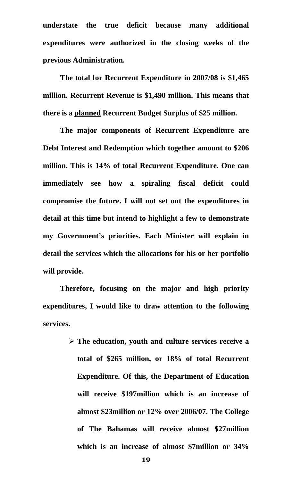**understate the true deficit because many additional expenditures were authorized in the closing weeks of the previous Administration.** 

 **The total for Recurrent Expenditure in 2007/08 is \$1,465 million. Recurrent Revenue is \$1,490 million. This means that there is a planned Recurrent Budget Surplus of \$25 million.** 

 **The major components of Recurrent Expenditure are Debt Interest and Redemption which together amount to \$206 million. This is 14% of total Recurrent Expenditure. One can immediately see how a spiraling fiscal deficit could compromise the future. I will not set out the expenditures in detail at this time but intend to highlight a few to demonstrate my Government's priorities. Each Minister will explain in detail the services which the allocations for his or her portfolio will provide.** 

 **Therefore, focusing on the major and high priority expenditures, I would like to draw attention to the following services.** 

> ¾ **The education, youth and culture services receive a total of \$265 million, or 18% of total Recurrent Expenditure. Of this, the Department of Education will receive \$197million which is an increase of almost \$23million or 12% over 2006/07. The College of The Bahamas will receive almost \$27million which is an increase of almost \$7million or 34%**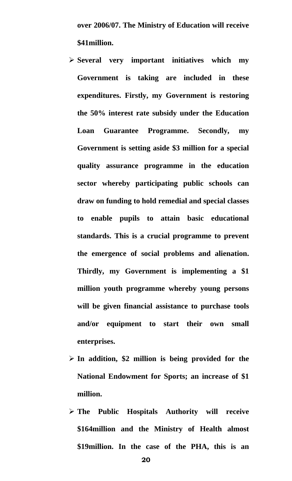**over 2006/07. The Ministry of Education will receive \$41million.** 

- ¾ **Several very important initiatives which my Government is taking are included in these expenditures. Firstly, my Government is restoring the 50% interest rate subsidy under the Education Loan Guarantee Programme. Secondly, my Government is setting aside \$3 million for a special quality assurance programme in the education sector whereby participating public schools can draw on funding to hold remedial and special classes to enable pupils to attain basic educational standards. This is a crucial programme to prevent the emergence of social problems and alienation. Thirdly, my Government is implementing a \$1 million youth programme whereby young persons will be given financial assistance to purchase tools and/or equipment to start their own small enterprises.**
- ¾ **In addition, \$2 million is being provided for the National Endowment for Sports; an increase of \$1 million.**
- ¾ **The Public Hospitals Authority will receive \$164million and the Ministry of Health almost \$19million. In the case of the PHA, this is an**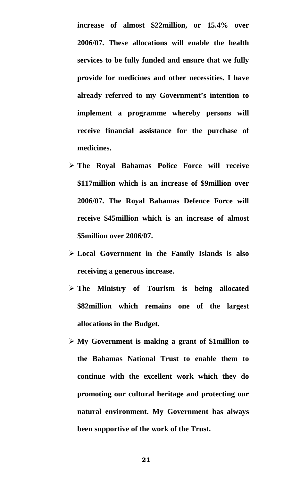**increase of almost \$22million, or 15.4% over 2006/07. These allocations will enable the health services to be fully funded and ensure that we fully provide for medicines and other necessities. I have already referred to my Government's intention to implement a programme whereby persons will receive financial assistance for the purchase of medicines.** 

- ¾ **The Royal Bahamas Police Force will receive \$117million which is an increase of \$9million over 2006/07. The Royal Bahamas Defence Force will receive \$45million which is an increase of almost \$5million over 2006/07.**
- ¾ **Local Government in the Family Islands is also receiving a generous increase.**
- ¾ **The Ministry of Tourism is being allocated \$82million which remains one of the largest allocations in the Budget.**
- ¾ **My Government is making a grant of \$1million to the Bahamas National Trust to enable them to continue with the excellent work which they do promoting our cultural heritage and protecting our natural environment. My Government has always been supportive of the work of the Trust.**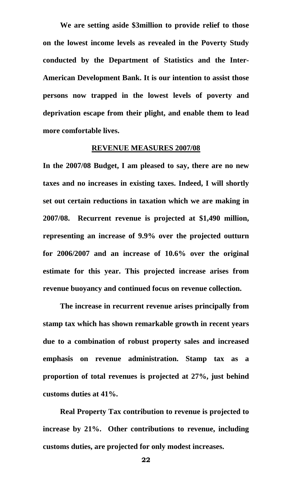**We are setting aside \$3million to provide relief to those on the lowest income levels as revealed in the Poverty Study conducted by the Department of Statistics and the Inter-American Development Bank. It is our intention to assist those persons now trapped in the lowest levels of poverty and deprivation escape from their plight, and enable them to lead more comfortable lives.** 

### **REVENUE MEASURES 2007/08**

**In the 2007/08 Budget, I am pleased to say, there are no new taxes and no increases in existing taxes. Indeed, I will shortly set out certain reductions in taxation which we are making in 2007/08. Recurrent revenue is projected at \$1,490 million, representing an increase of 9.9% over the projected outturn for 2006/2007 and an increase of 10.6% over the original estimate for this year. This projected increase arises from revenue buoyancy and continued focus on revenue collection.** 

 **The increase in recurrent revenue arises principally from stamp tax which has shown remarkable growth in recent years due to a combination of robust property sales and increased emphasis on revenue administration. Stamp tax as a proportion of total revenues is projected at 27%, just behind customs duties at 41%.** 

**Real Property Tax contribution to revenue is projected to increase by 21%. Other contributions to revenue, including customs duties, are projected for only modest increases.** 

— *22* до 22 до 22 до 22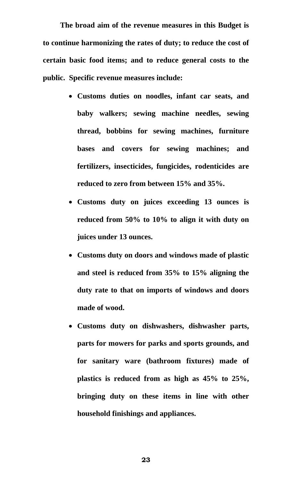**The broad aim of the revenue measures in this Budget is to continue harmonizing the rates of duty; to reduce the cost of certain basic food items; and to reduce general costs to the public. Specific revenue measures include:** 

- **Customs duties on noodles, infant car seats, and baby walkers; sewing machine needles, sewing thread, bobbins for sewing machines, furniture bases and covers for sewing machines; and fertilizers, insecticides, fungicides, rodenticides are reduced to zero from between 15% and 35%.**
- **Customs duty on juices exceeding 13 ounces is reduced from 50% to 10% to align it with duty on juices under 13 ounces.**
- **Customs duty on doors and windows made of plastic and steel is reduced from 35% to 15% aligning the duty rate to that on imports of windows and doors made of wood.**
- **Customs duty on dishwashers, dishwasher parts, parts for mowers for parks and sports grounds, and for sanitary ware (bathroom fixtures) made of plastics is reduced from as high as 45% to 25%, bringing duty on these items in line with other household finishings and appliances.**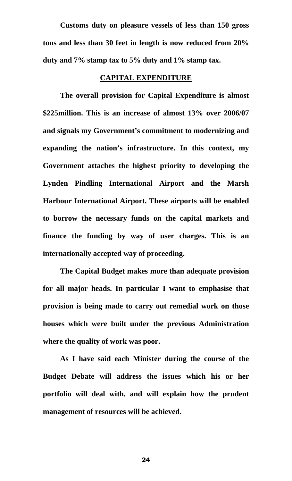**Customs duty on pleasure vessels of less than 150 gross tons and less than 30 feet in length is now reduced from 20% duty and 7% stamp tax to 5% duty and 1% stamp tax.** 

### **CAPITAL EXPENDITURE**

 **The overall provision for Capital Expenditure is almost \$225million. This is an increase of almost 13% over 2006/07 and signals my Government's commitment to modernizing and expanding the nation's infrastructure. In this context, my Government attaches the highest priority to developing the Lynden Pindling International Airport and the Marsh Harbour International Airport. These airports will be enabled to borrow the necessary funds on the capital markets and finance the funding by way of user charges. This is an internationally accepted way of proceeding.** 

 **The Capital Budget makes more than adequate provision for all major heads. In particular I want to emphasise that provision is being made to carry out remedial work on those houses which were built under the previous Administration where the quality of work was poor.** 

 **As I have said each Minister during the course of the Budget Debate will address the issues which his or her portfolio will deal with, and will explain how the prudent management of resources will be achieved.**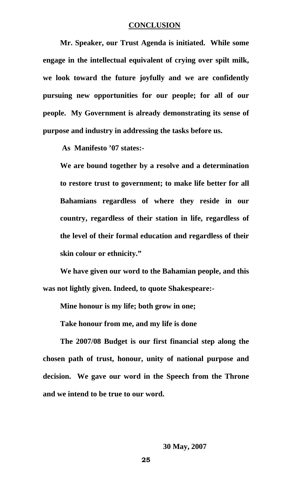### **CONCLUSION**

**Mr. Speaker, our Trust Agenda is initiated. While some engage in the intellectual equivalent of crying over spilt milk, we look toward the future joyfully and we are confidently pursuing new opportunities for our people; for all of our people. My Government is already demonstrating its sense of purpose and industry in addressing the tasks before us.** 

 **As Manifesto '07 states:-** 

**We are bound together by a resolve and a determination to restore trust to government; to make life better for all Bahamians regardless of where they reside in our country, regardless of their station in life, regardless of the level of their formal education and regardless of their skin colour or ethnicity."** 

**We have given our word to the Bahamian people, and this was not lightly given. Indeed, to quote Shakespeare:-** 

**Mine honour is my life; both grow in one;** 

**Take honour from me, and my life is done** 

**The 2007/08 Budget is our first financial step along the chosen path of trust, honour, unity of national purpose and decision. We gave our word in the Speech from the Throne and we intend to be true to our word.**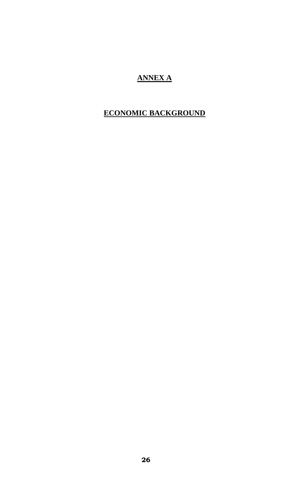# **ANNEX A**

# **ECONOMIC BACKGROUND**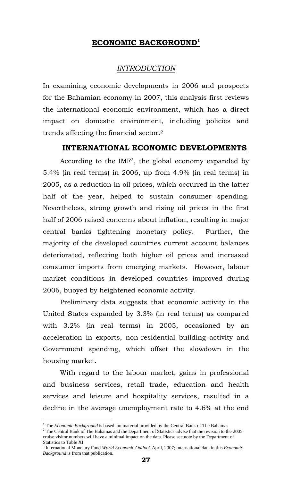# **ECONOMIC BACKGROUND1**

## *INTRODUCTION*

In examining economic developments in 2006 and prospects for the Bahamian economy in 2007, this analysis first reviews the international economic environment, which has a direct impact on domestic environment, including policies and trends affecting the financial sector.2

### **INTERNATIONAL ECONOMIC DEVELOPMENTS**

According to the IMF3, the global economy expanded by 5.4% (in real terms) in 2006, up from 4.9% (in real terms) in 2005, as a reduction in oil prices, which occurred in the latter half of the year, helped to sustain consumer spending. Nevertheless, strong growth and rising oil prices in the first half of 2006 raised concerns about inflation, resulting in major central banks tightening monetary policy. Further, the majority of the developed countries current account balances deteriorated, reflecting both higher oil prices and increased consumer imports from emerging markets. However, labour market conditions in developed countries improved during 2006, buoyed by heightened economic activity.

Preliminary data suggests that economic activity in the United States expanded by 3.3% (in real terms) as compared with 3.2% (in real terms) in 2005, occasioned by an acceleration in exports, non-residential building activity and Government spending, which offset the slowdown in the housing market.

With regard to the labour market, gains in professional and business services, retail trade, education and health services and leisure and hospitality services, resulted in a decline in the average unemployment rate to 4.6% at the end

<sup>&</sup>lt;sup>1</sup> The *Economic Background* is based on material provided by the Central Bank of The Bahamas  $2^2$  The Central Bank of The Bahamas 2

 $2$  The Central Bank of The Bahamas and the Department of Statistics advise that the revision to the 2005 cruise visitor numbers will have a minimal impact on the data. Please see note by the Department of Statistics to Table XI.

<sup>3</sup> International Monetary Fund *World Economic Outlook* April, 2007; international data in this *Economic Background* is from that publication.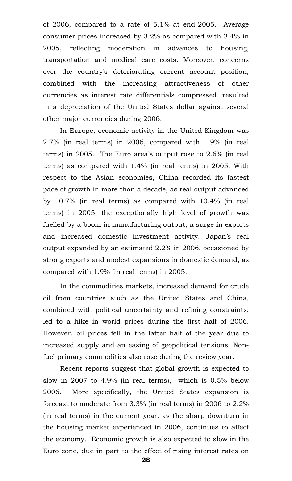of 2006, compared to a rate of 5.1% at end-2005. Average consumer prices increased by 3.2% as compared with 3.4% in 2005, reflecting moderation in advances to housing, transportation and medical care costs. Moreover, concerns over the country's deteriorating current account position, combined with the increasing attractiveness of other currencies as interest rate differentials compressed, resulted in a depreciation of the United States dollar against several other major currencies during 2006.

In Europe, economic activity in the United Kingdom was 2.7% (in real terms) in 2006, compared with 1.9% (in real terms) in 2005. The Euro area's output rose to 2.6% (in real terms) as compared with 1.4% (in real terms) in 2005. With respect to the Asian economies, China recorded its fastest pace of growth in more than a decade, as real output advanced by 10.7% (in real terms) as compared with 10.4% (in real terms) in 2005; the exceptionally high level of growth was fuelled by a boom in manufacturing output, a surge in exports and increased domestic investment activity. Japan's real output expanded by an estimated 2.2% in 2006, occasioned by strong exports and modest expansions in domestic demand, as compared with 1.9% (in real terms) in 2005.

In the commodities markets, increased demand for crude oil from countries such as the United States and China, combined with political uncertainty and refining constraints, led to a hike in world prices during the first half of 2006. However, oil prices fell in the latter half of the year due to increased supply and an easing of geopolitical tensions. Nonfuel primary commodities also rose during the review year.

Recent reports suggest that global growth is expected to slow in 2007 to 4.9% (in real terms), which is 0.5% below 2006. More specifically, the United States expansion is forecast to moderate from 3.3% (in real terms) in 2006 to 2.2% (in real terms) in the current year, as the sharp downturn in the housing market experienced in 2006, continues to affect the economy. Economic growth is also expected to slow in the Euro zone, due in part to the effect of rising interest rates on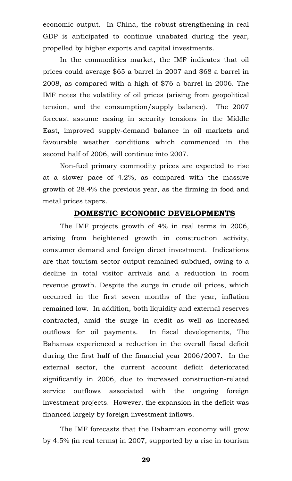economic output. In China, the robust strengthening in real GDP is anticipated to continue unabated during the year, propelled by higher exports and capital investments.

In the commodities market, the IMF indicates that oil prices could average \$65 a barrel in 2007 and \$68 a barrel in 2008, as compared with a high of \$76 a barrel in 2006. The IMF notes the volatility of oil prices (arising from geopolitical tension, and the consumption/supply balance). The 2007 forecast assume easing in security tensions in the Middle East, improved supply-demand balance in oil markets and favourable weather conditions which commenced in the second half of 2006, will continue into 2007.

Non-fuel primary commodity prices are expected to rise at a slower pace of 4.2%, as compared with the massive growth of 28.4% the previous year, as the firming in food and metal prices tapers.

### **DOMESTIC ECONOMIC DEVELOPMENTS**

The IMF projects growth of 4% in real terms in 2006, arising from heightened growth in construction activity, consumer demand and foreign direct investment. Indications are that tourism sector output remained subdued, owing to a decline in total visitor arrivals and a reduction in room revenue growth. Despite the surge in crude oil prices, which occurred in the first seven months of the year, inflation remained low. In addition, both liquidity and external reserves contracted, amid the surge in credit as well as increased outflows for oil payments. In fiscal developments, The Bahamas experienced a reduction in the overall fiscal deficit during the first half of the financial year 2006/2007. In the external sector, the current account deficit deteriorated significantly in 2006, due to increased construction-related service outflows associated with the ongoing foreign investment projects. However, the expansion in the deficit was financed largely by foreign investment inflows.

The IMF forecasts that the Bahamian economy will grow by 4.5% (in real terms) in 2007, supported by a rise in tourism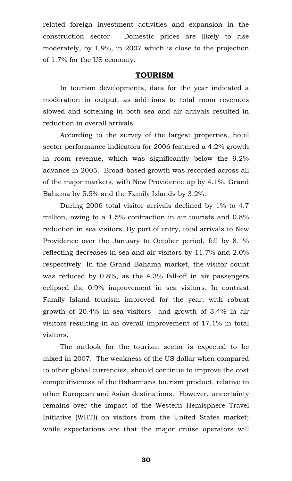related foreign investment activities and expansion in the construction sector. Domestic prices are likely to rise moderately, by 1.9%, in 2007 which is close to the projection of 1.7% for the US economy.

### **TOURISM**

In tourism developments, data for the year indicated a moderation in output, as additions to total room revenues slowed and softening in both sea and air arrivals resulted in reduction in overall arrivals.

According to the survey of the largest properties, hotel sector performance indicators for 2006 featured a 4.2% growth in room revenue, which was significantly below the 9.2% advance in 2005. Broad-based growth was recorded across all of the major markets, with New Providence up by 4.1%, Grand Bahama by 5.5% and the Family Islands by 3.2%.

During 2006 total visitor arrivals declined by 1% to 4.7 million, owing to a 1.5% contraction in air tourists and 0.8% reduction in sea visitors. By port of entry, total arrivals to New Providence over the January to October period, fell by 8.1% reflecting decreases in sea and air visitors by 11.7% and 2.0% respectively. In the Grand Bahama market, the visitor count was reduced by 0.8%, as the 4.3% fall-off in air passengers eclipsed the 0.9% improvement in sea visitors. In contrast Family Island tourism improved for the year, with robust growth of 20.4% in sea visitors and growth of 3.4% in air visitors resulting in an overall improvement of 17.1% in total visitors.

The outlook for the tourism sector is expected to be mixed in 2007. The weakness of the US dollar when compared to other global currencies, should continue to improve the cost competitiveness of the Bahamians tourism product, relative to other European and Asian destinations. However, uncertainty remains over the impact of the Western Hemisphere Travel Initiative (WHTI) on visitors from the United States market; while expectations are that the major cruise operators will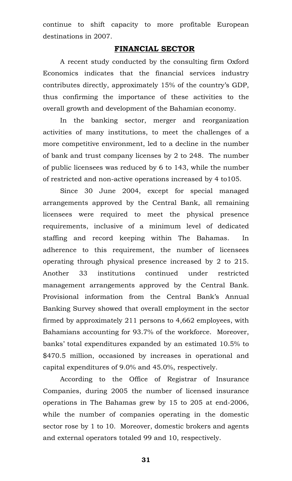continue to shift capacity to more profitable European destinations in 2007.

### **FINANCIAL SECTOR**

A recent study conducted by the consulting firm Oxford Economics indicates that the financial services industry contributes directly, approximately 15% of the country's GDP, thus confirming the importance of these activities to the overall growth and development of the Bahamian economy.

In the banking sector, merger and reorganization activities of many institutions, to meet the challenges of a more competitive environment, led to a decline in the number of bank and trust company licenses by 2 to 248. The number of public licensees was reduced by 6 to 143, while the number of restricted and non-active operations increased by 4 to105.

Since 30 June 2004, except for special managed arrangements approved by the Central Bank, all remaining licensees were required to meet the physical presence requirements, inclusive of a minimum level of dedicated staffing and record keeping within The Bahamas. In adherence to this requirement, the number of licensees operating through physical presence increased by 2 to 215. Another 33 institutions continued under restricted management arrangements approved by the Central Bank. Provisional information from the Central Bank's Annual Banking Survey showed that overall employment in the sector firmed by approximately 211 persons to 4,662 employees, with Bahamians accounting for 93.7% of the workforce. Moreover, banks' total expenditures expanded by an estimated 10.5% to \$470.5 million, occasioned by increases in operational and capital expenditures of 9.0% and 45.0%, respectively.

According to the Office of Registrar of Insurance Companies, during 2005 the number of licensed insurance operations in The Bahamas grew by 15 to 205 at end-2006, while the number of companies operating in the domestic sector rose by 1 to 10. Moreover, domestic brokers and agents and external operators totaled 99 and 10, respectively.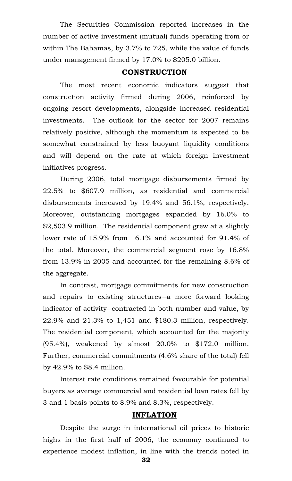The Securities Commission reported increases in the number of active investment (mutual) funds operating from or within The Bahamas, by 3.7% to 725, while the value of funds under management firmed by 17.0% to \$205.0 billion.

### **CONSTRUCTION**

The most recent economic indicators suggest that construction activity firmed during 2006, reinforced by ongoing resort developments, alongside increased residential investments. The outlook for the sector for 2007 remains relatively positive, although the momentum is expected to be somewhat constrained by less buoyant liquidity conditions and will depend on the rate at which foreign investment initiatives progress.

During 2006, total mortgage disbursements firmed by 22.5% to \$607.9 million, as residential and commercial disbursements increased by 19.4% and 56.1%, respectively. Moreover, outstanding mortgages expanded by 16.0% to \$2,503.9 million. The residential component grew at a slightly lower rate of 15.9% from 16.1% and accounted for 91.4% of the total. Moreover, the commercial segment rose by 16.8% from 13.9% in 2005 and accounted for the remaining 8.6% of the aggregate.

In contrast, mortgage commitments for new construction and repairs to existing structures―a more forward looking indicator of activity―contracted in both number and value, by 22.9% and 21.3% to 1,451 and \$180.3 million, respectively. The residential component, which accounted for the majority  $(95.4\%)$ , weakened by almost 20.0% to \$172.0 million. Further, commercial commitments (4.6% share of the total) fell by 42.9% to \$8.4 million.

Interest rate conditions remained favourable for potential buyers as average commercial and residential loan rates fell by 3 and 1 basis points to 8.9% and 8.3%, respectively.

### **INFLATION**

Despite the surge in international oil prices to historic highs in the first half of 2006, the economy continued to experience modest inflation, in line with the trends noted in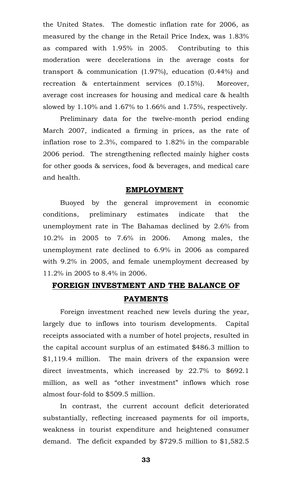the United States. The domestic inflation rate for 2006, as measured by the change in the Retail Price Index, was 1.83% as compared with 1.95% in 2005. Contributing to this moderation were decelerations in the average costs for transport & communication (1.97%), education (0.44%) and recreation & entertainment services (0.15%). Moreover, average cost increases for housing and medical care & health slowed by 1.10% and 1.67% to 1.66% and 1.75%, respectively.

Preliminary data for the twelve-month period ending March 2007, indicated a firming in prices, as the rate of inflation rose to 2.3%, compared to 1.82% in the comparable 2006 period. The strengthening reflected mainly higher costs for other goods & services, food & beverages, and medical care and health.

### **EMPLOYMENT**

Buoyed by the general improvement in economic conditions, preliminary estimates indicate that the unemployment rate in The Bahamas declined by 2.6% from 10.2% in 2005 to 7.6% in 2006. Among males, the unemployment rate declined to 6.9% in 2006 as compared with 9.2% in 2005, and female unemployment decreased by 11.2% in 2005 to 8.4% in 2006.

# **FOREIGN INVESTMENT AND THE BALANCE OF PAYMENTS**

Foreign investment reached new levels during the year, largely due to inflows into tourism developments. Capital receipts associated with a number of hotel projects, resulted in the capital account surplus of an estimated \$486.3 million to \$1,119.4 million. The main drivers of the expansion were direct investments, which increased by 22.7% to \$692.1 million, as well as "other investment" inflows which rose almost four-fold to \$509.5 million.

In contrast, the current account deficit deteriorated substantially, reflecting increased payments for oil imports, weakness in tourist expenditure and heightened consumer demand. The deficit expanded by \$729.5 million to \$1,582.5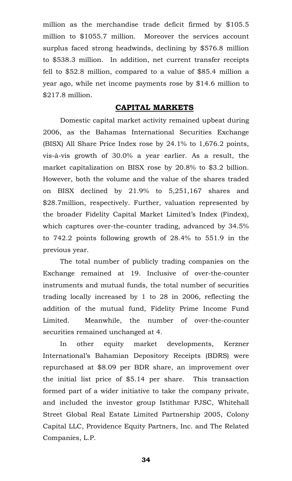million as the merchandise trade deficit firmed by \$105.5 million to \$1055.7 million. Moreover the services account surplus faced strong headwinds, declining by \$576.8 million to \$538.3 million. In addition, net current transfer receipts fell to \$52.8 million, compared to a value of \$85.4 million a year ago, while net income payments rose by \$14.6 million to \$217.8 million.

### **CAPITAL MARKETS**

Domestic capital market activity remained upbeat during 2006, as the Bahamas International Securities Exchange (BISX) All Share Price Index rose by 24.1% to 1,676.2 points, vis-à-vis growth of 30.0% a year earlier. As a result, the market capitalization on BISX rose by 20.8% to \$3.2 billion. However, both the volume and the value of the shares traded on BISX declined by 21.9% to 5,251,167 shares and \$28.7million, respectively. Further, valuation represented by the broader Fidelity Capital Market Limited's Index (Findex), which captures over-the-counter trading, advanced by 34.5% to 742.2 points following growth of 28.4% to 551.9 in the previous year.

The total number of publicly trading companies on the Exchange remained at 19. Inclusive of over-the-counter instruments and mutual funds, the total number of securities trading locally increased by 1 to 28 in 2006, reflecting the addition of the mutual fund, Fidelity Prime Income Fund Limited. Meanwhile, the number of over-the-counter securities remained unchanged at 4.

In other equity market developments, Kerzner International's Bahamian Depository Receipts (BDRS) were repurchased at \$8.09 per BDR share, an improvement over the initial list price of \$5.14 per share. This transaction formed part of a wider initiative to take the company private, and included the investor group Istithmar PJSC, Whitehall Street Global Real Estate Limited Partnership 2005, Colony Capital LLC, Providence Equity Partners, Inc. and The Related Companies, L.P.

ل المساوي المساوي المساوي المساوي المساوي المساوي المساوي المساوي المساوي المساوي المساوي المساوي المساوي المس<br>والمساوي المساوي المساوي المساوي المساوي المساوي المساوي المساوي المساوي المساوي المساوي المساوي المساوي المس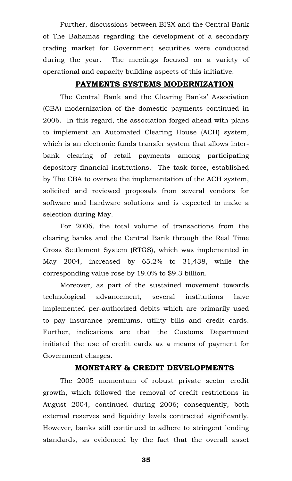Further, discussions between BISX and the Central Bank of The Bahamas regarding the development of a secondary trading market for Government securities were conducted during the year. The meetings focused on a variety of operational and capacity building aspects of this initiative.

### **PAYMENTS SYSTEMS MODERNIZATION**

The Central Bank and the Clearing Banks' Association (CBA) modernization of the domestic payments continued in 2006. In this regard, the association forged ahead with plans to implement an Automated Clearing House (ACH) system, which is an electronic funds transfer system that allows interbank clearing of retail payments among participating depository financial institutions. The task force, established by The CBA to oversee the implementation of the ACH system, solicited and reviewed proposals from several vendors for software and hardware solutions and is expected to make a selection during May.

For 2006, the total volume of transactions from the clearing banks and the Central Bank through the Real Time Gross Settlement System (RTGS), which was implemented in May 2004, increased by 65.2% to 31,438, while the corresponding value rose by 19.0% to \$9.3 billion.

Moreover, as part of the sustained movement towards technological advancement, several institutions have implemented per-authorized debits which are primarily used to pay insurance premiums, utility bills and credit cards. Further, indications are that the Customs Department initiated the use of credit cards as a means of payment for Government charges.

### **MONETARY & CREDIT DEVELOPMENTS**

The 2005 momentum of robust private sector credit growth, which followed the removal of credit restrictions in August 2004, continued during 2006; consequently, both external reserves and liquidity levels contracted significantly. However, banks still continued to adhere to stringent lending standards, as evidenced by the fact that the overall asset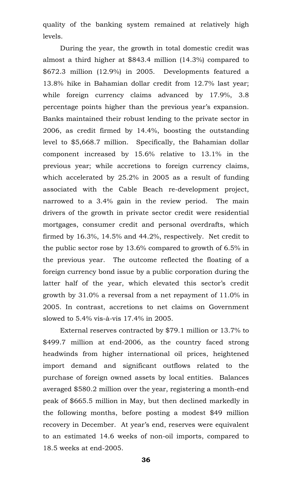quality of the banking system remained at relatively high levels.

During the year, the growth in total domestic credit was almost a third higher at \$843.4 million (14.3%) compared to \$672.3 million (12.9%) in 2005. Developments featured a 13.8% hike in Bahamian dollar credit from 12.7% last year; while foreign currency claims advanced by 17.9%, 3.8 percentage points higher than the previous year's expansion. Banks maintained their robust lending to the private sector in 2006, as credit firmed by 14.4%, boosting the outstanding level to \$5,668.7 million. Specifically, the Bahamian dollar component increased by 15.6% relative to 13.1% in the previous year; while accretions to foreign currency claims, which accelerated by 25.2% in 2005 as a result of funding associated with the Cable Beach re-development project, narrowed to a 3.4% gain in the review period. The main drivers of the growth in private sector credit were residential mortgages, consumer credit and personal overdrafts, which firmed by 16.3%, 14.5% and 44.2%, respectively. Net credit to the public sector rose by 13.6% compared to growth of 6.5% in the previous year. The outcome reflected the floating of a foreign currency bond issue by a public corporation during the latter half of the year, which elevated this sector's credit growth by 31.0% a reversal from a net repayment of 11.0% in 2005. In contrast, accretions to net claims on Government slowed to 5.4% vis-à-vis 17.4% in 2005.

External reserves contracted by \$79.1 million or 13.7% to \$499.7 million at end-2006, as the country faced strong headwinds from higher international oil prices, heightened import demand and significant outflows related to the purchase of foreign owned assets by local entities. Balances averaged \$580.2 million over the year, registering a month-end peak of \$665.5 million in May, but then declined markedly in the following months, before posting a modest \$49 million recovery in December. At year's end, reserves were equivalent to an estimated 14.6 weeks of non-oil imports, compared to 18.5 weeks at end-2005.

ل المساوت المساوت المساوت المساوت المساوت المساوت المساوت المساوت المساوت المساوت المساوت المساوت المساوت المس<br>والمساوت المساوت المساوت المساوت المساوت المساوت المساوت المساوت المساوت المساوت المساوت المساوت المساوت المس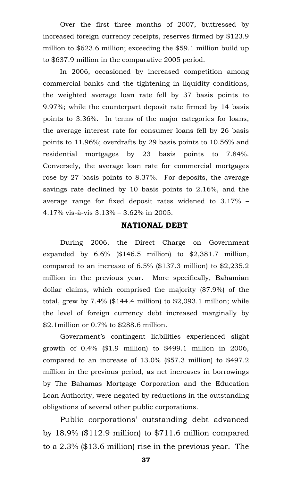Over the first three months of 2007, buttressed by increased foreign currency receipts, reserves firmed by \$123.9 million to \$623.6 million; exceeding the \$59.1 million build up to \$637.9 million in the comparative 2005 period.

In 2006, occasioned by increased competition among commercial banks and the tightening in liquidity conditions, the weighted average loan rate fell by 37 basis points to 9.97%; while the counterpart deposit rate firmed by 14 basis points to 3.36%. In terms of the major categories for loans, the average interest rate for consumer loans fell by 26 basis points to 11.96%; overdrafts by 29 basis points to 10.56% and residential mortgages by 23 basis points to 7.84%. Conversely, the average loan rate for commercial mortgages rose by 27 basis points to 8.37%. For deposits, the average savings rate declined by 10 basis points to 2.16%, and the average range for fixed deposit rates widened to 3.17% – 4.17% vis-à-vis 3.13% – 3.62% in 2005.

### **NATIONAL DEBT**

During 2006, the Direct Charge on Government expanded by 6.6% (\$146.5 million) to \$2,381.7 million, compared to an increase of 6.5% (\$137.3 million) to \$2,235.2 million in the previous year. More specifically, Bahamian dollar claims, which comprised the majority (87.9%) of the total, grew by  $7.4\%$  (\$144.4 million) to \$2,093.1 million; while the level of foreign currency debt increased marginally by \$2.1million or 0.7% to \$288.6 million.

Government's contingent liabilities experienced slight growth of 0.4% (\$1.9 million) to \$499.1 million in 2006, compared to an increase of 13.0% (\$57.3 million) to \$497.2 million in the previous period, as net increases in borrowings by The Bahamas Mortgage Corporation and the Education Loan Authority, were negated by reductions in the outstanding obligations of several other public corporations.

Public corporations' outstanding debt advanced by 18.9%  $(\$112.9 \text{ million})$  to  $\$711.6 \text{ million compared}$ to a 2.3% (\$13.6 million) rise in the previous year. The